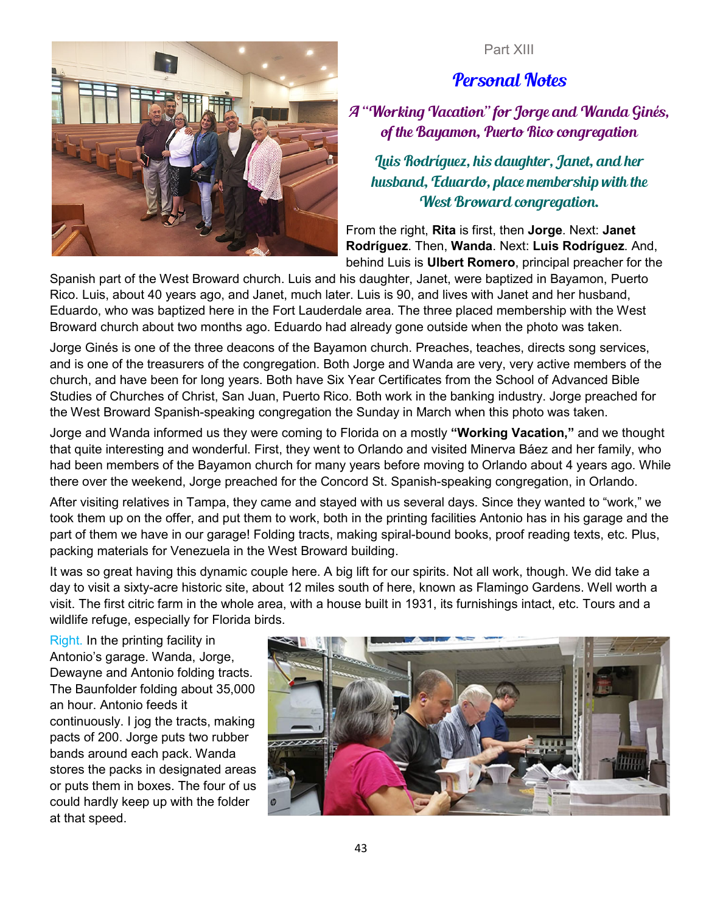## Part XIII

## Personal Notes

A "Working Vacation" for Jorge and Wanda Ginés, of the Bayamon, Puerto Rico congregation

Luis Rodríguez, his daughter, Janet, and her husband, Eduardo, place membership with the West Broward congregation.

From the right, **Rita** is first, then **Jorge**. Next: **Janet Rodríguez**. Then, **Wanda**. Next: **Luis Rodríguez**. And, behind Luis is **Ulbert Romero**, principal preacher for the

Spanish part of the West Broward church. Luis and his daughter, Janet, were baptized in Bayamon, Puerto Rico. Luis, about 40 years ago, and Janet, much later. Luis is 90, and lives with Janet and her husband, Eduardo, who was baptized here in the Fort Lauderdale area. The three placed membership with the West Broward church about two months ago. Eduardo had already gone outside when the photo was taken.

Jorge Ginés is one of the three deacons of the Bayamon church. Preaches, teaches, directs song services, and is one of the treasurers of the congregation. Both Jorge and Wanda are very, very active members of the church, and have been for long years. Both have Six Year Certificates from the School of Advanced Bible Studies of Churches of Christ, San Juan, Puerto Rico. Both work in the banking industry. Jorge preached for the West Broward Spanish-speaking congregation the Sunday in March when this photo was taken.

Jorge and Wanda informed us they were coming to Florida on a mostly **"Working Vacation,"** and we thought that quite interesting and wonderful. First, they went to Orlando and visited Minerva Báez and her family, who had been members of the Bayamon church for many years before moving to Orlando about 4 years ago. While there over the weekend, Jorge preached for the Concord St. Spanish-speaking congregation, in Orlando.

After visiting relatives in Tampa, they came and stayed with us several days. Since they wanted to "work," we took them up on the offer, and put them to work, both in the printing facilities Antonio has in his garage and the part of them we have in our garage! Folding tracts, making spiral-bound books, proof reading texts, etc. Plus, packing materials for Venezuela in the West Broward building.

It was so great having this dynamic couple here. A big lift for our spirits. Not all work, though. We did take a day to visit a sixty-acre historic site, about 12 miles south of here, known as Flamingo Gardens. Well worth a visit. The first citric farm in the whole area, with a house built in 1931, its furnishings intact, etc. Tours and a wildlife refuge, especially for Florida birds.

Right. In the printing facility in Antonio's garage. Wanda, Jorge, Dewayne and Antonio folding tracts. The Baunfolder folding about 35,000 an hour. Antonio feeds it continuously. I jog the tracts, making pacts of 200. Jorge puts two rubber bands around each pack. Wanda stores the packs in designated areas or puts them in boxes. The four of us could hardly keep up with the folder at that speed.